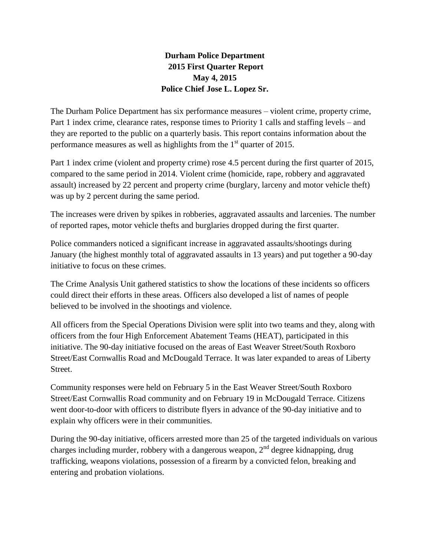# **Durham Police Department 2015 First Quarter Report May 4, 2015 Police Chief Jose L. Lopez Sr.**

The Durham Police Department has six performance measures – violent crime, property crime, Part 1 index crime, clearance rates, response times to Priority 1 calls and staffing levels – and they are reported to the public on a quarterly basis. This report contains information about the performance measures as well as highlights from the  $1<sup>st</sup>$  quarter of 2015.

Part 1 index crime (violent and property crime) rose 4.5 percent during the first quarter of 2015, compared to the same period in 2014. Violent crime (homicide, rape, robbery and aggravated assault) increased by 22 percent and property crime (burglary, larceny and motor vehicle theft) was up by 2 percent during the same period.

The increases were driven by spikes in robberies, aggravated assaults and larcenies. The number of reported rapes, motor vehicle thefts and burglaries dropped during the first quarter.

Police commanders noticed a significant increase in aggravated assaults/shootings during January (the highest monthly total of aggravated assaults in 13 years) and put together a 90-day initiative to focus on these crimes.

The Crime Analysis Unit gathered statistics to show the locations of these incidents so officers could direct their efforts in these areas. Officers also developed a list of names of people believed to be involved in the shootings and violence.

All officers from the Special Operations Division were split into two teams and they, along with officers from the four High Enforcement Abatement Teams (HEAT), participated in this initiative. The 90-day initiative focused on the areas of East Weaver Street/South Roxboro Street/East Cornwallis Road and McDougald Terrace. It was later expanded to areas of Liberty Street.

Community responses were held on February 5 in the East Weaver Street/South Roxboro Street/East Cornwallis Road community and on February 19 in McDougald Terrace. Citizens went door-to-door with officers to distribute flyers in advance of the 90-day initiative and to explain why officers were in their communities.

During the 90-day initiative, officers arrested more than 25 of the targeted individuals on various charges including murder, robbery with a dangerous weapon,  $2<sup>nd</sup>$  degree kidnapping, drug trafficking, weapons violations, possession of a firearm by a convicted felon, breaking and entering and probation violations.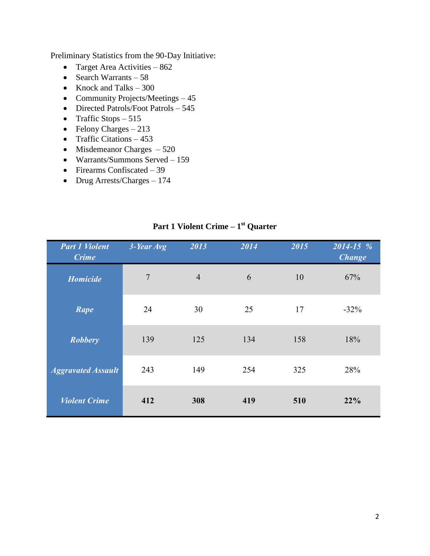Preliminary Statistics from the 90-Day Initiative:

- Target Area Activities 862
- Search Warrants  $-58$
- Knock and Talks 300
- Community Projects/Meetings 45
- Directed Patrols/Foot Patrols 545
- Traffic Stops  $-515$
- Felony Charges  $-213$
- Traffic Citations  $-453$
- $\bullet$  Misdemeanor Charges  $-520$
- Warrants/Summons Served 159
- $\bullet$  Firearms Confiscated 39
- Drug Arrests/Charges 174

| <b>Part 1 Violent</b><br><b>Crime</b> | 3-Year Avg     | 2013           | 2014 | 2015 | $2014 - 15%$<br><b>Change</b> |
|---------------------------------------|----------------|----------------|------|------|-------------------------------|
| <b>Homicide</b>                       | $\overline{7}$ | $\overline{4}$ | 6    | 10   | 67%                           |
| Rape                                  | 24             | 30             | 25   | 17   | $-32%$                        |
| <b>Robbery</b>                        | 139            | 125            | 134  | 158  | 18%                           |
| <b>Aggravated Assault</b>             | 243            | 149            | 254  | 325  | 28%                           |
| <b>Violent Crime</b>                  | 412            | 308            | 419  | 510  | 22%                           |

# **Part 1 Violent Crime – 1 st Quarter**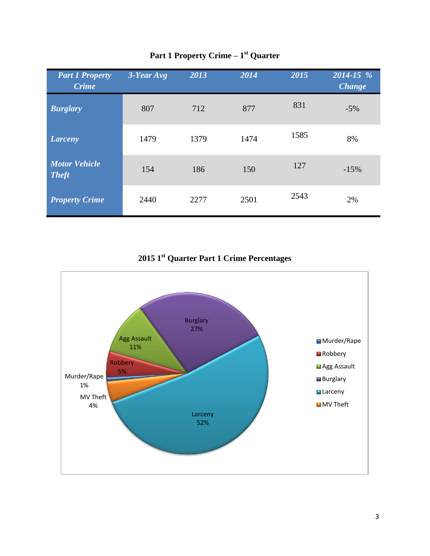| <b>Part 1 Property</b><br><b>Crime</b> | $3$ -Year Avg | 2013 | 2014 | 2015 | 2014-15 %<br><b>Change</b> |
|----------------------------------------|---------------|------|------|------|----------------------------|
| <b>Burglary</b>                        | 807           | 712  | 877  | 831  | $-5%$                      |
| <b>Larceny</b>                         | 1479          | 1379 | 1474 | 1585 | 8%                         |
| <b>Motor Vehicle</b><br><b>Theft</b>   | 154           | 186  | 150  | 127  | $-15%$                     |
| <b>Property Crime</b>                  | 2440          | 2277 | 2501 | 2543 | 2%                         |

# **Part 1 Property Crime – 1 st Quarter**

**2015 1st Quarter Part 1 Crime Percentages**

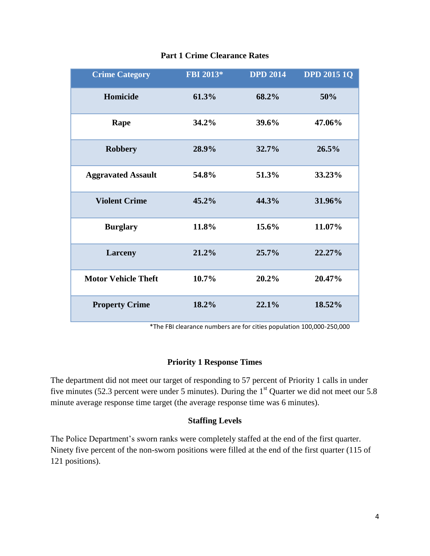| <b>Crime Category</b>      | FBI 2013* | <b>DPD 2014</b> | <b>DPD 2015 1Q</b> |
|----------------------------|-----------|-----------------|--------------------|
| Homicide                   | 61.3%     | 68.2%           | 50%                |
| Rape                       | 34.2%     | 39.6%           | 47.06%             |
| <b>Robbery</b>             | 28.9%     | 32.7%           | 26.5%              |
| <b>Aggravated Assault</b>  | 54.8%     | 51.3%           | 33.23%             |
| <b>Violent Crime</b>       | 45.2%     | 44.3%           | 31.96%             |
| <b>Burglary</b>            | 11.8%     | 15.6%           | 11.07%             |
| <b>Larceny</b>             | 21.2%     | 25.7%           | 22.27%             |
| <b>Motor Vehicle Theft</b> | 10.7%     | 20.2%           | 20.47%             |
| <b>Property Crime</b>      | 18.2%     | 22.1%           | 18.52%             |

## **Part 1 Crime Clearance Rates**

\*The FBI clearance numbers are for cities population 100,000-250,000

## **Priority 1 Response Times**

The department did not meet our target of responding to 57 percent of Priority 1 calls in under five minutes (52.3 percent were under 5 minutes). During the  $1<sup>st</sup>$  Quarter we did not meet our 5.8 minute average response time target (the average response time was 6 minutes).

#### **Staffing Levels**

The Police Department's sworn ranks were completely staffed at the end of the first quarter. Ninety five percent of the non-sworn positions were filled at the end of the first quarter (115 of 121 positions).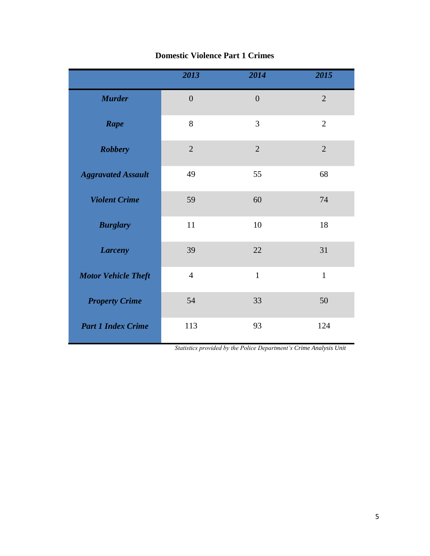|                            | 2013             | 2014           | 2015           |
|----------------------------|------------------|----------------|----------------|
| <b>Murder</b>              | $\boldsymbol{0}$ | $\overline{0}$ | $\overline{2}$ |
| Rape                       | 8                | 3              | $\overline{2}$ |
| <b>Robbery</b>             | $\overline{2}$   | $\overline{2}$ | $\overline{2}$ |
| <b>Aggravated Assault</b>  | 49               | 55             | 68             |
| <b>Violent Crime</b>       | 59               | 60             | 74             |
| <b>Burglary</b>            | 11               | 10             | 18             |
| <b>Larceny</b>             | 39               | 22             | 31             |
| <b>Motor Vehicle Theft</b> | $\overline{4}$   | $\mathbf{1}$   | $\mathbf{1}$   |
| <b>Property Crime</b>      | 54               | 33             | 50             |
| <b>Part 1 Index Crime</b>  | 113              | 93             | 124            |

# **Domestic Violence Part 1 Crimes**

 *Statistics provided by the Police Department's Crime Analysis Unit*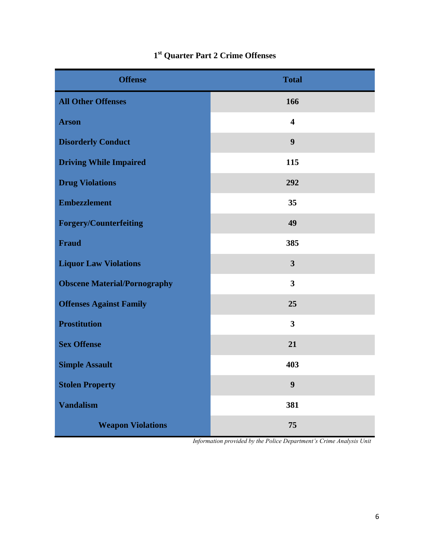| <b>Offense</b>                      | <b>Total</b>            |
|-------------------------------------|-------------------------|
| <b>All Other Offenses</b>           | 166                     |
| <b>Arson</b>                        | $\overline{\mathbf{4}}$ |
| <b>Disorderly Conduct</b>           | $\boldsymbol{9}$        |
| <b>Driving While Impaired</b>       | 115                     |
| <b>Drug Violations</b>              | 292                     |
| <b>Embezzlement</b>                 | 35                      |
| <b>Forgery/Counterfeiting</b>       | 49                      |
| <b>Fraud</b>                        | 385                     |
| <b>Liquor Law Violations</b>        | $\overline{\mathbf{3}}$ |
| <b>Obscene Material/Pornography</b> | $\overline{\mathbf{3}}$ |
| <b>Offenses Against Family</b>      | 25                      |
| <b>Prostitution</b>                 | $\overline{\mathbf{3}}$ |
| <b>Sex Offense</b>                  | 21                      |
| <b>Simple Assault</b>               | 403                     |
| <b>Stolen Property</b>              | $\boldsymbol{9}$        |
| <b>Vandalism</b>                    | 381                     |
| <b>Weapon Violations</b>            | 75                      |

# **1 st Quarter Part 2 Crime Offenses**

 *Information provided by the Police Department's Crime Analysis Unit*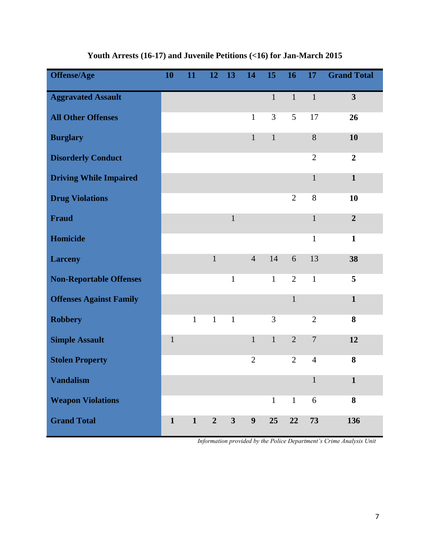| <b>Offense/Age</b>             | 10           | 11           | 12             | 13             | 14             | 15           | 16             | 17             | <b>Grand Total</b>      |
|--------------------------------|--------------|--------------|----------------|----------------|----------------|--------------|----------------|----------------|-------------------------|
| <b>Aggravated Assault</b>      |              |              |                |                |                | $\mathbf{1}$ | $\mathbf{1}$   | $\mathbf{1}$   | $\overline{\mathbf{3}}$ |
| <b>All Other Offenses</b>      |              |              |                |                | $\mathbf{1}$   | 3            | 5              | 17             | 26                      |
| <b>Burglary</b>                |              |              |                |                | $\mathbf{1}$   | $\mathbf 1$  |                | 8              | 10                      |
| <b>Disorderly Conduct</b>      |              |              |                |                |                |              |                | $\overline{2}$ | $\overline{2}$          |
| <b>Driving While Impaired</b>  |              |              |                |                |                |              |                | $\mathbf{1}$   | $\mathbf{1}$            |
| <b>Drug Violations</b>         |              |              |                |                |                |              | $\overline{2}$ | 8              | 10                      |
| <b>Fraud</b>                   |              |              |                | $\mathbf{1}$   |                |              |                | $\mathbf{1}$   | $\overline{2}$          |
| Homicide                       |              |              |                |                |                |              |                | $\mathbf{1}$   | $\mathbf{1}$            |
| <b>Larceny</b>                 |              |              | $\mathbf{1}$   |                | $\overline{4}$ | 14           | 6              | 13             | 38                      |
| <b>Non-Reportable Offenses</b> |              |              |                | $\mathbf{1}$   |                | $\mathbf{1}$ | $\overline{2}$ | $\mathbf{1}$   | 5                       |
| <b>Offenses Against Family</b> |              |              |                |                |                |              | $\mathbf{1}$   |                | $\mathbf{1}$            |
| <b>Robbery</b>                 |              | $\mathbf{1}$ | $\mathbf{1}$   | $\mathbf{1}$   |                | 3            |                | $\overline{2}$ | 8                       |
| <b>Simple Assault</b>          | $\mathbf{1}$ |              |                |                | $\mathbf{1}$   | $\mathbf{1}$ | $\overline{2}$ | $\overline{7}$ | 12                      |
| <b>Stolen Property</b>         |              |              |                |                | $\mathfrak{2}$ |              | $\overline{2}$ | $\overline{4}$ | 8                       |
| <b>Vandalism</b>               |              |              |                |                |                |              |                | $\mathbf{1}$   | $\mathbf{1}$            |
| <b>Weapon Violations</b>       |              |              |                |                |                | $\mathbf{1}$ | $\mathbf{1}$   | 6              | 8                       |
| <b>Grand Total</b>             | $\mathbf{1}$ | 1            | $\overline{2}$ | 3 <sup>1</sup> | 9              | 25           | 22             | 73             | 136                     |

**Youth Arrests (16-17) and Juvenile Petitions (<16) for Jan-March 2015**

 *Information provided by the Police Department's Crime Analysis Unit*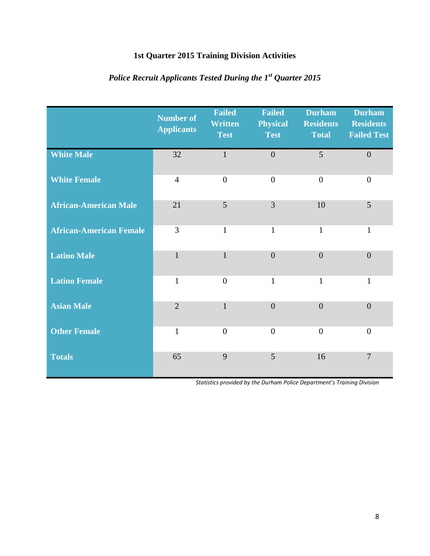# **1st Quarter 2015 Training Division Activities**

|                                | <b>Number of</b><br><b>Applicants</b> | <b>Failed</b><br><b>Written</b><br><b>Test</b> | <b>Failed</b><br><b>Physical</b><br><b>Test</b> | <b>Durham</b><br><b>Residents</b><br><b>Total</b> | <b>Durham</b><br><b>Residents</b><br><b>Failed Test</b> |
|--------------------------------|---------------------------------------|------------------------------------------------|-------------------------------------------------|---------------------------------------------------|---------------------------------------------------------|
| <b>White Male</b>              | 32                                    | $\mathbf{1}$                                   | $\boldsymbol{0}$                                | 5                                                 | $\overline{0}$                                          |
| <b>White Female</b>            | $\overline{4}$                        | $\overline{0}$                                 | $\overline{0}$                                  | $\theta$                                          | $\overline{0}$                                          |
| <b>African-American Male</b>   | 21                                    | 5                                              | 3                                               | 10                                                | 5                                                       |
| <b>African-American Female</b> | 3                                     | $\mathbf{1}$                                   | $\mathbf{1}$                                    | $\mathbf{1}$                                      | $\mathbf{1}$                                            |
| <b>Latino Male</b>             | $\mathbf{1}$                          | $\mathbf{1}$                                   | $\overline{0}$                                  | $\overline{0}$                                    | $\overline{0}$                                          |
| <b>Latino Female</b>           | $\mathbf{1}$                          | $\overline{0}$                                 | $\mathbf{1}$                                    | $\mathbf{1}$                                      | $\mathbf{1}$                                            |
| <b>Asian Male</b>              | $\overline{2}$                        | $\mathbf{1}$                                   | $\overline{0}$                                  | $\overline{0}$                                    | $\overline{0}$                                          |
| <b>Other Female</b>            | $\mathbf{1}$                          | $\overline{0}$                                 | $\boldsymbol{0}$                                | $\overline{0}$                                    | $\boldsymbol{0}$                                        |
| <b>Totals</b>                  | 65                                    | 9                                              | 5                                               | 16                                                | $\overline{7}$                                          |

# *Police Recruit Applicants Tested During the 1st Quarter 2015*

*Statistics provided by the Durham Police Department's Training Division*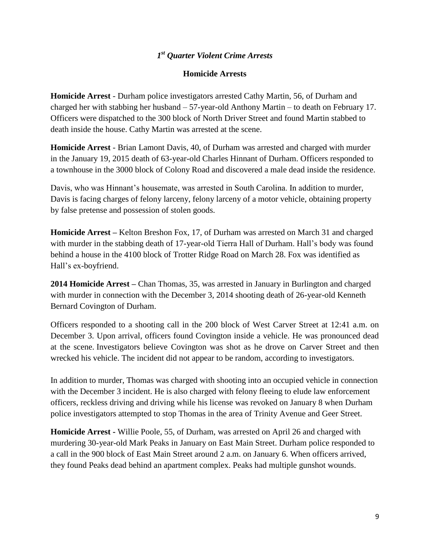# *1 st Quarter Violent Crime Arrests*

#### **Homicide Arrests**

**Homicide Arrest** - Durham police investigators arrested Cathy Martin, 56, of Durham and charged her with stabbing her husband – 57-year-old Anthony Martin – to death on February 17. Officers were dispatched to the 300 block of North Driver Street and found Martin stabbed to death inside the house. Cathy Martin was arrested at the scene.

**Homicide Arrest** - Brian Lamont Davis, 40, of Durham was arrested and charged with murder in the January 19, 2015 death of 63-year-old Charles Hinnant of Durham. Officers responded to a townhouse in the 3000 block of Colony Road and discovered a male dead inside the residence.

Davis, who was Hinnant's housemate, was arrested in South Carolina. In addition to murder, Davis is facing charges of felony larceny, felony larceny of a motor vehicle, obtaining property by false pretense and possession of stolen goods.

**Homicide Arrest –** Kelton Breshon Fox, 17, of Durham was arrested on March 31 and charged with murder in the stabbing death of 17-year-old Tierra Hall of Durham. Hall's body was found behind a house in the 4100 block of Trotter Ridge Road on March 28. Fox was identified as Hall's ex-boyfriend.

**2014 Homicide Arrest –** Chan Thomas, 35, was arrested in January in Burlington and charged with murder in connection with the December 3, 2014 shooting death of 26-year-old Kenneth Bernard Covington of Durham.

Officers responded to a shooting call in the 200 block of West Carver Street at 12:41 a.m. on December 3. Upon arrival, officers found Covington inside a vehicle. He was pronounced dead at the scene. Investigators believe Covington was shot as he drove on Carver Street and then wrecked his vehicle. The incident did not appear to be random, according to investigators.

In addition to murder, Thomas was charged with shooting into an occupied vehicle in connection with the December 3 incident. He is also charged with felony fleeing to elude law enforcement officers, reckless driving and driving while his license was revoked on January 8 when Durham police investigators attempted to stop Thomas in the area of Trinity Avenue and Geer Street.

**Homicide Arrest -** Willie Poole, 55, of Durham, was arrested on April 26 and charged with murdering 30-year-old Mark Peaks in January on East Main Street. Durham police responded to a call in the 900 block of East Main Street around 2 a.m. on January 6. When officers arrived, they found Peaks dead behind an apartment complex. Peaks had multiple gunshot wounds.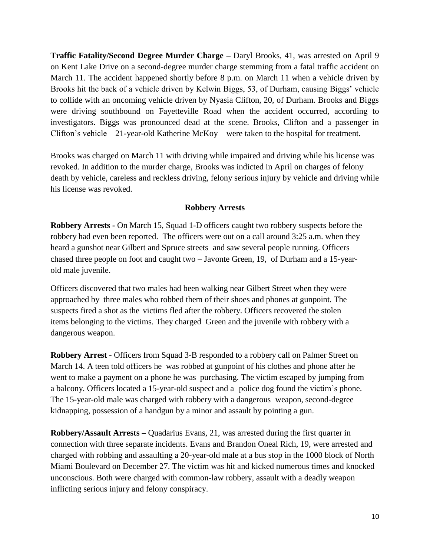**Traffic Fatality/Second Degree Murder Charge –** Daryl Brooks, 41, was arrested on April 9 on Kent Lake Drive on a second-degree murder charge stemming from a fatal traffic accident on March 11. The accident happened shortly before 8 p.m. on March 11 when a vehicle driven by Brooks hit the back of a vehicle driven by Kelwin Biggs, 53, of Durham, causing Biggs' vehicle to collide with an oncoming vehicle driven by Nyasia Clifton, 20, of Durham. Brooks and Biggs were driving southbound on Fayetteville Road when the accident occurred, according to investigators. Biggs was pronounced dead at the scene. Brooks, Clifton and a passenger in Clifton's vehicle – 21-year-old Katherine McKoy – were taken to the hospital for treatment.

Brooks was charged on March 11 with driving while impaired and driving while his license was revoked. In addition to the murder charge, Brooks was indicted in April on charges of felony death by vehicle, careless and reckless driving, felony serious injury by vehicle and driving while his license was revoked.

#### **Robbery Arrests**

**Robbery Arrests -** On March 15, Squad 1-D officers caught two robbery suspects before the robbery had even been reported. The officers were out on a call around 3:25 a.m. when they heard a gunshot near Gilbert and Spruce streets and saw several people running. Officers chased three people on foot and caught two – Javonte Green, 19, of Durham and a 15-yearold male juvenile.

Officers discovered that two males had been walking near Gilbert Street when they were approached by three males who robbed them of their shoes and phones at gunpoint. The suspects fired a shot as the victims fled after the robbery. Officers recovered the stolen items belonging to the victims. They charged Green and the juvenile with robbery with a dangerous weapon.

**Robbery Arrest -** Officers from Squad 3-B responded to a robbery call on Palmer Street on March 14. A teen told officers he was robbed at gunpoint of his clothes and phone after he went to make a payment on a phone he was purchasing. The victim escaped by jumping from a balcony. Officers located a 15-year-old suspect and a police dog found the victim's phone. The 15-year-old male was charged with robbery with a dangerous weapon, second-degree kidnapping, possession of a handgun by a minor and assault by pointing a gun.

**Robbery/Assault Arrests –** Quadarius Evans, 21, was arrested during the first quarter in connection with three separate incidents. Evans and Brandon Oneal Rich, 19, were arrested and charged with robbing and assaulting a 20-year-old male at a bus stop in the 1000 block of North Miami Boulevard on December 27. The victim was hit and kicked numerous times and knocked unconscious. Both were charged with common-law robbery, assault with a deadly weapon inflicting serious injury and felony conspiracy.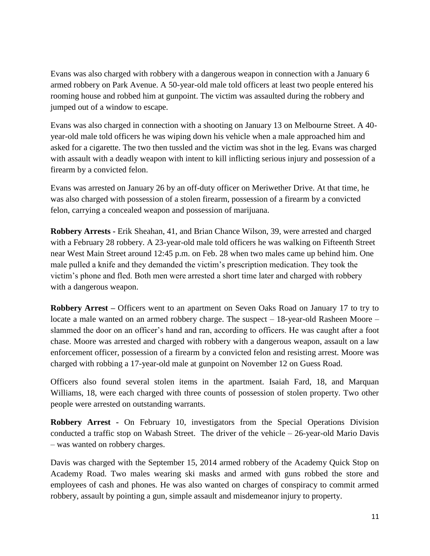Evans was also charged with robbery with a dangerous weapon in connection with a January 6 armed robbery on Park Avenue. A 50-year-old male told officers at least two people entered his rooming house and robbed him at gunpoint. The victim was assaulted during the robbery and jumped out of a window to escape.

Evans was also charged in connection with a shooting on January 13 on Melbourne Street. A 40 year-old male told officers he was wiping down his vehicle when a male approached him and asked for a cigarette. The two then tussled and the victim was shot in the leg. Evans was charged with assault with a deadly weapon with intent to kill inflicting serious injury and possession of a firearm by a convicted felon.

Evans was arrested on January 26 by an off-duty officer on Meriwether Drive. At that time, he was also charged with possession of a stolen firearm, possession of a firearm by a convicted felon, carrying a concealed weapon and possession of marijuana.

**Robbery Arrests -** Erik Sheahan, 41, and Brian Chance Wilson, 39, were arrested and charged with a February 28 robbery. A 23-year-old male told officers he was walking on Fifteenth Street near West Main Street around 12:45 p.m. on Feb. 28 when two males came up behind him. One male pulled a knife and they demanded the victim's prescription medication. They took the victim's phone and fled. Both men were arrested a short time later and charged with robbery with a dangerous weapon.

**Robbery Arrest –** Officers went to an apartment on Seven Oaks Road on January 17 to try to locate a male wanted on an armed robbery charge. The suspect – 18-year-old Rasheen Moore – slammed the door on an officer's hand and ran, according to officers. He was caught after a foot chase. Moore was arrested and charged with robbery with a dangerous weapon, assault on a law enforcement officer, possession of a firearm by a convicted felon and resisting arrest. Moore was charged with robbing a 17-year-old male at gunpoint on November 12 on Guess Road.

Officers also found several stolen items in the apartment. Isaiah Fard, 18, and Marquan Williams, 18, were each charged with three counts of possession of stolen property. Two other people were arrested on outstanding warrants.

**Robbery Arrest -** On February 10, investigators from the Special Operations Division conducted a traffic stop on Wabash Street. The driver of the vehicle – 26-year-old Mario Davis – was wanted on robbery charges.

Davis was charged with the September 15, 2014 armed robbery of the Academy Quick Stop on Academy Road. Two males wearing ski masks and armed with guns robbed the store and employees of cash and phones. He was also wanted on charges of conspiracy to commit armed robbery, assault by pointing a gun, simple assault and misdemeanor injury to property.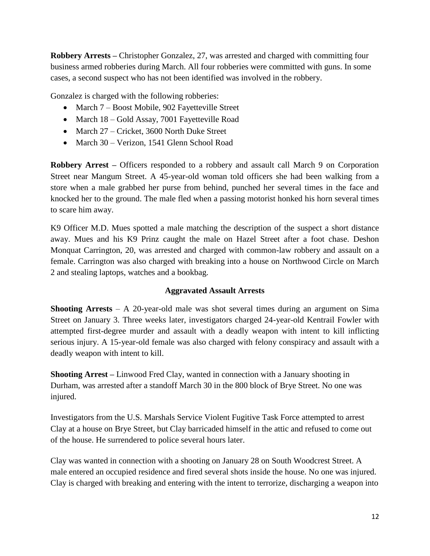**Robbery Arrests –** Christopher Gonzalez, 27, was arrested and charged with committing four business armed robberies during March. All four robberies were committed with guns. In some cases, a second suspect who has not been identified was involved in the robbery.

Gonzalez is charged with the following robberies:

- March 7 Boost Mobile, 902 Fayetteville Street
- March 18 Gold Assay, 7001 Fayetteville Road
- March 27 Cricket, 3600 North Duke Street
- March 30 Verizon, 1541 Glenn School Road

**Robbery Arrest –** Officers responded to a robbery and assault call March 9 on Corporation Street near Mangum Street. A 45-year-old woman told officers she had been walking from a store when a male grabbed her purse from behind, punched her several times in the face and knocked her to the ground. The male fled when a passing motorist honked his horn several times to scare him away.

K9 Officer M.D. Mues spotted a male matching the description of the suspect a short distance away. Mues and his K9 Prinz caught the male on Hazel Street after a foot chase. Deshon Monquat Carrington, 20, was arrested and charged with common-law robbery and assault on a female. Carrington was also charged with breaking into a house on Northwood Circle on March 2 and stealing laptops, watches and a bookbag.

## **Aggravated Assault Arrests**

**Shooting Arrests** – A 20-year-old male was shot several times during an argument on Sima Street on January 3. Three weeks later, investigators charged 24-year-old Kentrail Fowler with attempted first-degree murder and assault with a deadly weapon with intent to kill inflicting serious injury. A 15-year-old female was also charged with felony conspiracy and assault with a deadly weapon with intent to kill.

**Shooting Arrest –** Linwood Fred Clay, wanted in connection with a January shooting in Durham, was arrested after a standoff March 30 in the 800 block of Brye Street. No one was injured.

Investigators from the U.S. Marshals Service Violent Fugitive Task Force attempted to arrest Clay at a house on Brye Street, but Clay barricaded himself in the attic and refused to come out of the house. He surrendered to police several hours later.

Clay was wanted in connection with a shooting on January 28 on South Woodcrest Street. A male entered an occupied residence and fired several shots inside the house. No one was injured. Clay is charged with breaking and entering with the intent to terrorize, discharging a weapon into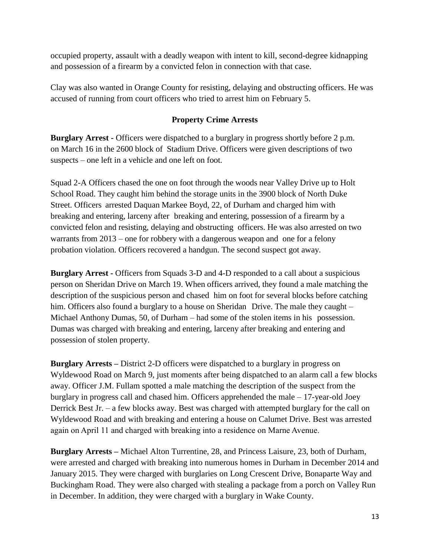occupied property, assault with a deadly weapon with intent to kill, second-degree kidnapping and possession of a firearm by a convicted felon in connection with that case.

Clay was also wanted in Orange County for resisting, delaying and obstructing officers. He was accused of running from court officers who tried to arrest him on February 5.

## **Property Crime Arrests**

**Burglary Arrest -** Officers were dispatched to a burglary in progress shortly before 2 p.m. on March 16 in the 2600 block of Stadium Drive. Officers were given descriptions of two suspects – one left in a vehicle and one left on foot.

Squad 2-A Officers chased the one on foot through the woods near Valley Drive up to Holt School Road. They caught him behind the storage units in the 3900 block of North Duke Street. Officers arrested Daquan Markee Boyd, 22, of Durham and charged him with breaking and entering, larceny after breaking and entering, possession of a firearm by a convicted felon and resisting, delaying and obstructing officers. He was also arrested on two warrants from 2013 – one for robbery with a dangerous weapon and one for a felony probation violation. Officers recovered a handgun. The second suspect got away.

**Burglary Arrest -** Officers from Squads 3-D and 4-D responded to a call about a suspicious person on Sheridan Drive on March 19. When officers arrived, they found a male matching the description of the suspicious person and chased him on foot for several blocks before catching him. Officers also found a burglary to a house on Sheridan Drive. The male they caught – Michael Anthony Dumas, 50, of Durham – had some of the stolen items in his possession. Dumas was charged with breaking and entering, larceny after breaking and entering and possession of stolen property.

**Burglary Arrests –** District 2-D officers were dispatched to a burglary in progress on Wyldewood Road on March 9, just moments after being dispatched to an alarm call a few blocks away. Officer J.M. Fullam spotted a male matching the description of the suspect from the burglary in progress call and chased him. Officers apprehended the male – 17-year-old Joey Derrick Best Jr. – a few blocks away. Best was charged with attempted burglary for the call on Wyldewood Road and with breaking and entering a house on Calumet Drive. Best was arrested again on April 11 and charged with breaking into a residence on Marne Avenue.

**Burglary Arrests –** Michael Alton Turrentine, 28, and Princess Laisure, 23, both of Durham, were arrested and charged with breaking into numerous homes in Durham in December 2014 and January 2015. They were charged with burglaries on Long Crescent Drive, Bonaparte Way and Buckingham Road. They were also charged with stealing a package from a porch on Valley Run in December. In addition, they were charged with a burglary in Wake County.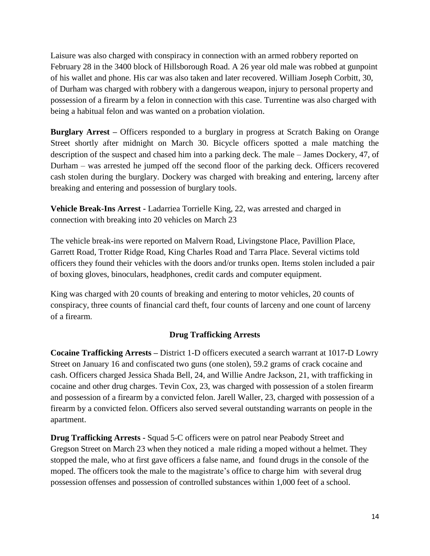Laisure was also charged with conspiracy in connection with an armed robbery reported on February 28 in the 3400 block of Hillsborough Road. A 26 year old male was robbed at gunpoint of his wallet and phone. His car was also taken and later recovered. William Joseph Corbitt, 30, of Durham was charged with robbery with a dangerous weapon, injury to personal property and possession of a firearm by a felon in connection with this case. Turrentine was also charged with being a habitual felon and was wanted on a probation violation.

**Burglary Arrest –** Officers responded to a burglary in progress at Scratch Baking on Orange Street shortly after midnight on March 30. Bicycle officers spotted a male matching the description of the suspect and chased him into a parking deck. The male – James Dockery, 47, of Durham – was arrested he jumped off the second floor of the parking deck. Officers recovered cash stolen during the burglary. Dockery was charged with breaking and entering, larceny after breaking and entering and possession of burglary tools.

**Vehicle Break-Ins Arrest -** Ladarriea Torrielle King, 22, was arrested and charged in connection with breaking into 20 vehicles on March 23

The vehicle break-ins were reported on Malvern Road, Livingstone Place, Pavillion Place, Garrett Road, Trotter Ridge Road, King Charles Road and Tarra Place. Several victims told officers they found their vehicles with the doors and/or trunks open. Items stolen included a pair of boxing gloves, binoculars, headphones, credit cards and computer equipment.

King was charged with 20 counts of breaking and entering to motor vehicles, 20 counts of conspiracy, three counts of financial card theft, four counts of larceny and one count of larceny of a firearm.

## **Drug Trafficking Arrests**

**Cocaine Trafficking Arrests –** District 1-D officers executed a search warrant at 1017-D Lowry Street on January 16 and confiscated two guns (one stolen), 59.2 grams of crack cocaine and cash. Officers charged Jessica Shada Bell, 24, and Willie Andre Jackson, 21, with trafficking in cocaine and other drug charges. Tevin Cox, 23, was charged with possession of a stolen firearm and possession of a firearm by a convicted felon. Jarell Waller, 23, charged with possession of a firearm by a convicted felon. Officers also served several outstanding warrants on people in the apartment.

**Drug Trafficking Arrests -** Squad 5-C officers were on patrol near Peabody Street and Gregson Street on March 23 when they noticed a male riding a moped without a helmet. They stopped the male, who at first gave officers a false name, and found drugs in the console of the moped. The officers took the male to the magistrate's office to charge him with several drug possession offenses and possession of controlled substances within 1,000 feet of a school.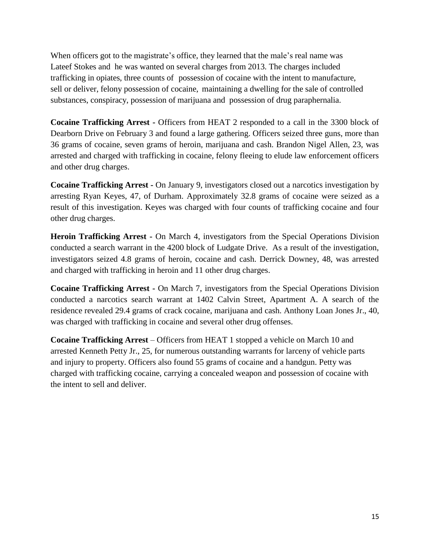When officers got to the magistrate's office, they learned that the male's real name was Lateef Stokes and he was wanted on several charges from 2013. The charges included trafficking in opiates, three counts of possession of cocaine with the intent to manufacture, sell or deliver, felony possession of cocaine, maintaining a dwelling for the sale of controlled substances, conspiracy, possession of marijuana and possession of drug paraphernalia.

**Cocaine Trafficking Arrest -** Officers from HEAT 2 responded to a call in the 3300 block of Dearborn Drive on February 3 and found a large gathering. Officers seized three guns, more than 36 grams of cocaine, seven grams of heroin, marijuana and cash. Brandon Nigel Allen, 23, was arrested and charged with trafficking in cocaine, felony fleeing to elude law enforcement officers and other drug charges.

**Cocaine Trafficking Arrest -** On January 9, investigators closed out a narcotics investigation by arresting Ryan Keyes, 47, of Durham. Approximately 32.8 grams of cocaine were seized as a result of this investigation. Keyes was charged with four counts of trafficking cocaine and four other drug charges.

**Heroin Trafficking Arrest -** On March 4, investigators from the Special Operations Division conducted a search warrant in the 4200 block of Ludgate Drive. As a result of the investigation, investigators seized 4.8 grams of heroin, cocaine and cash. Derrick Downey, 48, was arrested and charged with trafficking in heroin and 11 other drug charges.

**Cocaine Trafficking Arrest -** On March 7, investigators from the Special Operations Division conducted a narcotics search warrant at 1402 Calvin Street, Apartment A. A search of the residence revealed 29.4 grams of crack cocaine, marijuana and cash. Anthony Loan Jones Jr., 40, was charged with trafficking in cocaine and several other drug offenses.

**Cocaine Trafficking Arrest** – Officers from HEAT 1 stopped a vehicle on March 10 and arrested Kenneth Petty Jr., 25, for numerous outstanding warrants for larceny of vehicle parts and injury to property. Officers also found 55 grams of cocaine and a handgun. Petty was charged with trafficking cocaine, carrying a concealed weapon and possession of cocaine with the intent to sell and deliver.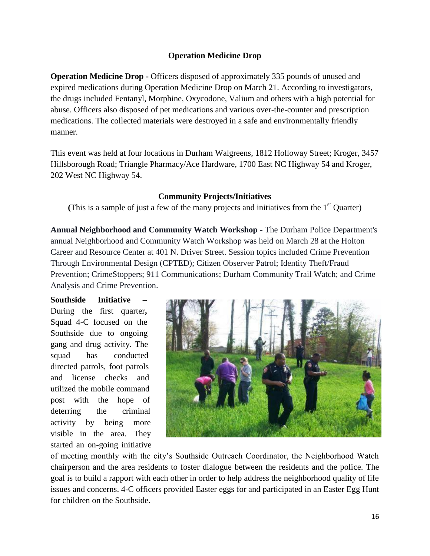## **Operation Medicine Drop**

**Operation Medicine Drop -** Officers disposed of approximately 335 pounds of unused and expired medications during Operation Medicine Drop on March 21. According to investigators, the drugs included Fentanyl, Morphine, Oxycodone, Valium and others with a high potential for abuse. Officers also disposed of pet medications and various over-the-counter and prescription medications. The collected materials were destroyed in a safe and environmentally friendly manner.

This event was held at four locations in Durham Walgreens, 1812 Holloway Street; Kroger, 3457 Hillsborough Road; Triangle Pharmacy/Ace Hardware, 1700 East NC Highway 54 and Kroger, 202 West NC Highway 54.

#### **Community Projects/Initiatives**

(This is a sample of just a few of the many projects and initiatives from the  $1<sup>st</sup>$  Quarter)

**Annual Neighborhood and Community Watch Workshop -** The Durham Police Department's annual Neighborhood and Community Watch Workshop was held on March 28 at the Holton Career and Resource Center at 401 N. Driver Street. Session topics included Crime Prevention Through Environmental Design (CPTED); Citizen Observer Patrol; Identity Theft/Fraud Prevention; CrimeStoppers; 911 Communications; Durham Community Trail Watch; and Crime Analysis and Crime Prevention.

**Southside Initiative –** During the first quarter**,**  Squad 4-C focused on the Southside due to ongoing gang and drug activity. The squad has conducted directed patrols, foot patrols and license checks and utilized the mobile command post with the hope of deterring the criminal activity by being more visible in the area. They started an on-going initiative



of meeting monthly with the city's Southside Outreach Coordinator, the Neighborhood Watch chairperson and the area residents to foster dialogue between the residents and the police. The goal is to build a rapport with each other in order to help address the neighborhood quality of life issues and concerns. 4-C officers provided Easter eggs for and participated in an Easter Egg Hunt for children on the Southside.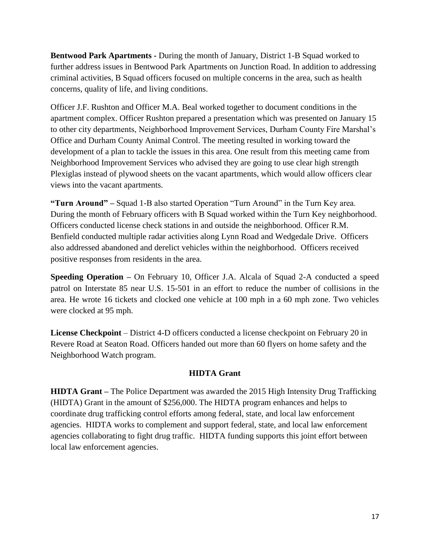**Bentwood Park Apartments -** During the month of January, District 1-B Squad worked to further address issues in Bentwood Park Apartments on Junction Road. In addition to addressing criminal activities, B Squad officers focused on multiple concerns in the area, such as health concerns, quality of life, and living conditions.

Officer J.F. Rushton and Officer M.A. Beal worked together to document conditions in the apartment complex. Officer Rushton prepared a presentation which was presented on January 15 to other city departments, Neighborhood Improvement Services, Durham County Fire Marshal's Office and Durham County Animal Control. The meeting resulted in working toward the development of a plan to tackle the issues in this area. One result from this meeting came from Neighborhood Improvement Services who advised they are going to use clear high strength Plexiglas instead of plywood sheets on the vacant apartments, which would allow officers clear views into the vacant apartments.

**"Turn Around" –** Squad 1-B also started Operation "Turn Around" in the Turn Key area. During the month of February officers with B Squad worked within the Turn Key neighborhood. Officers conducted license check stations in and outside the neighborhood. Officer R.M. Benfield conducted multiple radar activities along Lynn Road and Wedgedale Drive. Officers also addressed abandoned and derelict vehicles within the neighborhood. Officers received positive responses from residents in the area.

**Speeding Operation –** On February 10, Officer J.A. Alcala of Squad 2-A conducted a speed patrol on Interstate 85 near U.S. 15-501 in an effort to reduce the number of collisions in the area. He wrote 16 tickets and clocked one vehicle at 100 mph in a 60 mph zone. Two vehicles were clocked at 95 mph.

**License Checkpoint** – District 4-D officers conducted a license checkpoint on February 20 in Revere Road at Seaton Road. Officers handed out more than 60 flyers on home safety and the Neighborhood Watch program.

## **HIDTA Grant**

**HIDTA Grant –** The Police Department was awarded the 2015 High Intensity Drug Trafficking (HIDTA) Grant in the amount of \$256,000. The HIDTA program enhances and helps to coordinate drug trafficking control efforts among federal, state, and local law enforcement agencies. HIDTA works to complement and support federal, state, and local law enforcement agencies collaborating to fight drug traffic. HIDTA funding supports this joint effort between local law enforcement agencies.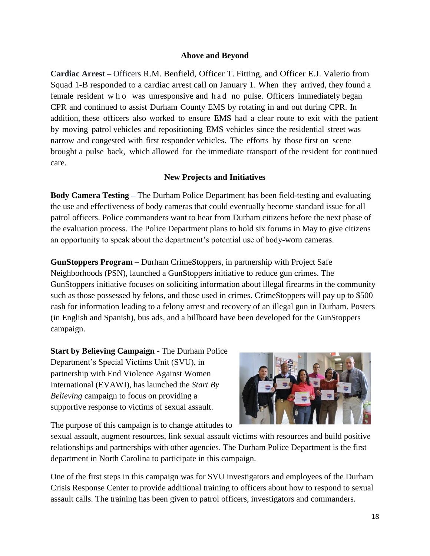#### **Above and Beyond**

**Cardiac Arrest –** Officers R.M. Benfield, Officer T. Fitting, and Officer E.J. Valerio from Squad 1-B responded to a cardiac arrest call on January 1. When they arrived, they found a female resident w h o was unresponsive and h a d no pulse. Officers immediately began CPR and continued to assist Durham County EMS by rotating in and out during CPR. In addition, these officers also worked to ensure EMS had a clear route to exit with the patient by moving patrol vehicles and repositioning EMS vehicles since the residential street was narrow and congested with first responder vehicles. The efforts by those first on scene brought a pulse back, which allowed for the immediate transport of the resident for continued care.

## **New Projects and Initiatives**

**Body Camera Testing –** The Durham Police Department has been field-testing and evaluating the use and effectiveness of body cameras that could eventually become standard issue for all patrol officers. Police commanders want to hear from Durham citizens before the next phase of the evaluation process. The Police Department plans to hold six forums in May to give citizens an opportunity to speak about the department's potential use of body-worn cameras.

**GunStoppers Program –** Durham CrimeStoppers, in partnership with Project Safe Neighborhoods (PSN), launched a GunStoppers initiative to reduce gun crimes. The GunStoppers initiative focuses on soliciting information about illegal firearms in the community such as those possessed by felons, and those used in crimes. CrimeStoppers will pay up to \$500 cash for information leading to a felony arrest and recovery of an illegal gun in Durham. Posters (in English and Spanish), bus ads, and a billboard have been developed for the GunStoppers campaign.

**Start by Believing Campaign -** The Durham Police Department's Special Victims Unit (SVU), in partnership with End Violence Against Women International (EVAWI), has launched the *Start By Believing* campaign to focus on providing a supportive response to victims of sexual assault.



The purpose of this campaign is to change attitudes to

sexual assault, augment resources, link sexual assault victims with resources and build positive relationships and partnerships with other agencies. The Durham Police Department is the first department in North Carolina to participate in this campaign.

One of the first steps in this campaign was for SVU investigators and employees of the Durham Crisis Response Center to provide additional training to officers about how to respond to sexual assault calls. The training has been given to patrol officers, investigators and commanders.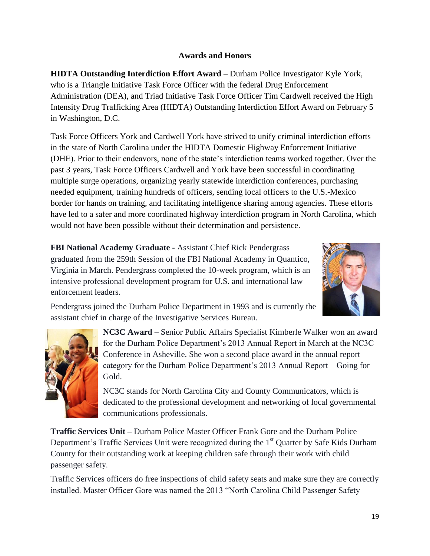# **Awards and Honors**

**HIDTA Outstanding Interdiction Effort Award** – Durham Police Investigator Kyle York, who is a Triangle Initiative Task Force Officer with the federal Drug Enforcement Administration (DEA), and Triad Initiative Task Force Officer Tim Cardwell received the High Intensity Drug Trafficking Area (HIDTA) Outstanding Interdiction Effort Award on February 5 in Washington, D.C.

Task Force Officers York and Cardwell York have strived to unify criminal interdiction efforts in the state of North Carolina under the HIDTA Domestic Highway Enforcement Initiative (DHE). Prior to their endeavors, none of the state's interdiction teams worked together. Over the past 3 years, Task Force Officers Cardwell and York have been successful in coordinating multiple surge operations, organizing yearly statewide interdiction conferences, purchasing needed equipment, training hundreds of officers, sending local officers to the U.S.-Mexico border for hands on training, and facilitating intelligence sharing among agencies. These efforts have led to a safer and more coordinated highway interdiction program in North Carolina, which would not have been possible without their determination and persistence.

**FBI National Academy Graduate -** Assistant Chief Rick Pendergrass graduated from the 259th Session of the FBI National Academy in Quantico, Virginia in March. Pendergrass completed the 10-week program, which is an intensive professional development program for U.S. and international law enforcement leaders.



Pendergrass joined the Durham Police Department in 1993 and is currently the assistant chief in charge of the Investigative Services Bureau.



**NC3C Award** – Senior Public Affairs Specialist Kimberle Walker won an award for the Durham Police Department's 2013 Annual Report in March at the NC3C Conference in Asheville. She won a second place award in the annual report category for the Durham Police Department's 2013 Annual Report – Going for Gold.

NC3C stands for North Carolina City and County Communicators, which is dedicated to the professional development and networking of local governmental communications professionals.

**Traffic Services Unit –** Durham Police Master Officer Frank Gore and the Durham Police Department's Traffic Services Unit were recognized during the 1<sup>st</sup> Quarter by Safe Kids Durham County for their outstanding work at keeping children safe through their work with child passenger safety.

Traffic Services officers do free inspections of child safety seats and make sure they are correctly installed. Master Officer Gore was named the 2013 "North Carolina Child Passenger Safety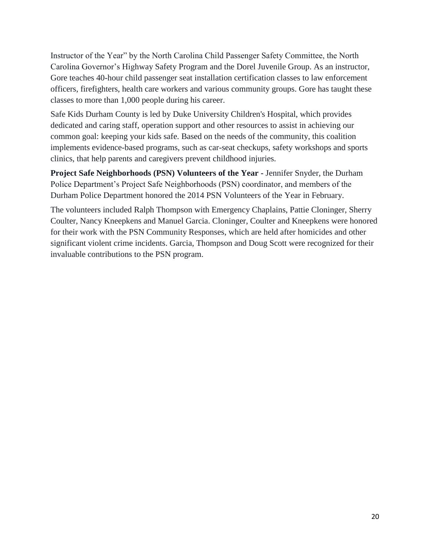Instructor of the Year" by the North Carolina Child Passenger Safety Committee, the North Carolina Governor's Highway Safety Program and the Dorel Juvenile Group. As an instructor, Gore teaches 40-hour child passenger seat installation certification classes to law enforcement officers, firefighters, health care workers and various community groups. Gore has taught these classes to more than 1,000 people during his career.

Safe Kids Durham County is led by Duke University Children's Hospital, which provides dedicated and caring staff, operation support and other resources to assist in achieving our common goal: keeping your kids safe. Based on the needs of the community, this coalition implements evidence-based programs, such as car-seat checkups, safety workshops and sports clinics, that help parents and caregivers prevent childhood injuries.

**Project Safe Neighborhoods (PSN) Volunteers of the Year -** Jennifer Snyder, the Durham Police Department's Project Safe Neighborhoods (PSN) coordinator, and members of the Durham Police Department honored the 2014 PSN Volunteers of the Year in February.

The volunteers included Ralph Thompson with Emergency Chaplains, Pattie Cloninger, Sherry Coulter, Nancy Kneepkens and Manuel Garcia. Cloninger, Coulter and Kneepkens were honored for their work with the PSN Community Responses, which are held after homicides and other significant violent crime incidents. Garcia, Thompson and Doug Scott were recognized for their invaluable contributions to the PSN program.